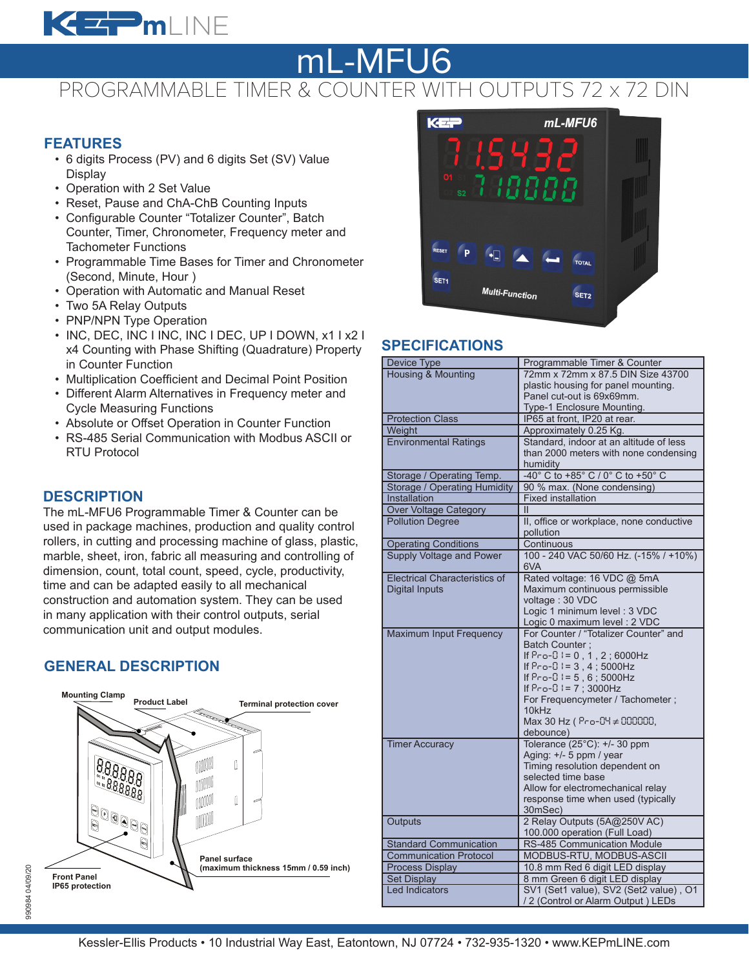

# PROGRAMMABLE TIMER & COUNTER WITH OUTPUTS 72 x 72 DIN mL-MFU6

#### **FEATURES**

- 6 digits Process (PV) and 6 digits Set (SV) Value **Display**
- Operation with 2 Set Value
- Reset, Pause and ChA-ChB Counting Inputs
- Configurable Counter "Totalizer Counter", Batch Counter, Timer, Chronometer, Frequency meter and Tachometer Functions
- Programmable Time Bases for Timer and Chronometer (Second, Minute, Hour )
- Operation with Automatic and Manual Reset
- Two 5A Relay Outputs
- PNP/NPN Type Operation
- INC, DEC, INC I INC, INC I DEC, UP I DOWN, x1 I x2 I x4 Counting with Phase Shifting (Quadrature) Property in Counter Function
- Multiplication Coefficient and Decimal Point Position
- Different Alarm Alternatives in Frequency meter and Cycle Measuring Functions
- Absolute or Offset Operation in Counter Function
- RS-485 Serial Communication with Modbus ASCII or RTU Protocol

### **DESCRIPTION**

The mL-MFU6 Programmable Timer & Counter can be used in package machines, production and quality control rollers, in cutting and processing machine of glass, plastic, marble, sheet, iron, fabric all measuring and controlling of dimension, count, total count, speed, cycle, productivity, time and can be adapted easily to all mechanical construction and automation system. They can be used in many application with their control outputs, serial communication unit and output modules.

## **GENERAL DESCRIPTION**





## **SPECIFICATIONS**

| <b>Device Type</b>                   | Programmable Timer & Counter                 |
|--------------------------------------|----------------------------------------------|
| <b>Housing &amp; Mounting</b>        | 72mm x 72mm x 87.5 DIN Size 43700            |
|                                      | plastic housing for panel mounting.          |
|                                      | Panel cut-out is 69x69mm.                    |
|                                      | Type-1 Enclosure Mounting.                   |
| <b>Protection Class</b>              | IP65 at front, IP20 at rear.                 |
| Weight                               | Approximately 0.25 Kg.                       |
| <b>Environmental Ratings</b>         | Standard, indoor at an altitude of less      |
|                                      | than 2000 meters with none condensing        |
|                                      | humidity                                     |
| Storage / Operating Temp.            | -40° C to +85° C / 0° C to +50° C            |
| <b>Storage / Operating Humidity</b>  | 90 % max. (None condensing)                  |
| <b>Installation</b>                  | <b>Fixed installation</b>                    |
| Over Voltage Category                | П                                            |
| <b>Pollution Degree</b>              | II, office or workplace, none conductive     |
|                                      |                                              |
|                                      | pollution                                    |
| <b>Operating Conditions</b>          | Continuous                                   |
| Supply Voltage and Power             | 100 - 240 VAC 50/60 Hz. (-15% / +10%)<br>6VA |
| <b>Electrical Characteristics of</b> | Rated voltage: 16 VDC @ 5mA                  |
| <b>Digital Inputs</b>                | Maximum continuous permissible               |
|                                      | voltage: 30 VDC                              |
|                                      | Logic 1 minimum level: 3 VDC                 |
|                                      | Logic 0 maximum level : 2 VDC                |
| Maximum Input Frequency              | For Counter / "Totalizer Counter" and        |
|                                      | <b>Batch Counter:</b>                        |
|                                      | If $Pro-0 != 0, 1, 2; 6000 Hz$               |
|                                      | If $Preo-0 := 3, 4$ ; 5000Hz                 |
|                                      | If $Proof 1 = 5, 6$ ; $5000 Hz$              |
|                                      | If Pro-0 I = 7 ; 3000Hz                      |
|                                      | For Frequencymeter / Tachometer;             |
|                                      | 10kHz                                        |
|                                      | Max 30 Hz ( Pro-04 ≠ 000000,                 |
|                                      | debounce)                                    |
| <b>Timer Accuracy</b>                | Tolerance (25°C): +/- 30 ppm                 |
|                                      | Aging: +/- 5 ppm / year                      |
|                                      | Timing resolution dependent on               |
|                                      | selected time base                           |
|                                      | Allow for electromechanical relay            |
|                                      | response time when used (typically           |
|                                      | 30mSec)                                      |
|                                      |                                              |
| Outputs                              | 2 Relay Outputs (5A@250V AC)                 |
|                                      | 100.000 operation (Full Load)                |
| <b>Standard Communication</b>        | RS-485 Communication Module                  |
| <b>Communication Protocol</b>        | MODBUS-RTU, MODBUS-ASCII                     |
| <b>Process Display</b>               | 10.8 mm Red 6 digit LED display              |
| <b>Set Display</b>                   | 8 mm Green 6 digit LED display               |
| <b>Led Indicators</b>                | SV1 (Set1 value), SV2 (Set2 value), O1       |
|                                      | / 2 (Control or Alarm Output) LEDs           |